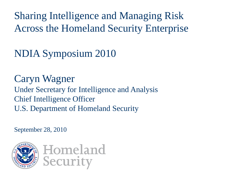Sharing Intelligence and Managing Risk Across the Homeland Security Enterprise

NDIA Symposium 2010

Caryn Wagner Under Secretary for Intelligence and Analysis Chief Intelligence Officer U.S. Department of Homeland Security

September 28, 2010



Homeland **Security**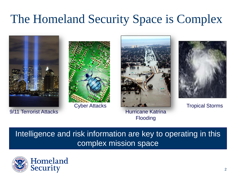#### The Homeland Security Space is Complex



9/11 Terrorist Attacks





Hurricane Katrina Flooding



Tropical Storms

#### Intelligence and risk information are key to operating in this complex mission space

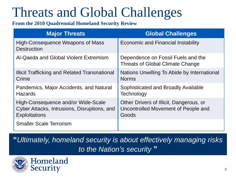# Threats and Global Challenges

#### **From the 2010 Quadrennial Homeland Security Review**

| <b>Major Threats</b>                                                                                      | <b>Global Challenges</b>                                                                |
|-----------------------------------------------------------------------------------------------------------|-----------------------------------------------------------------------------------------|
| High-Consequence Weapons of Mass<br><b>Destruction</b>                                                    | <b>Economic and Financial Instability</b>                                               |
| Al-Qaeda and Global Violent Extremism                                                                     | Dependence on Fossil Fuels and the<br><b>Threats of Global Climate Change</b>           |
| Illicit Trafficking and Related Transnational<br>Crime                                                    | Nations Unwilling To Abide by International<br><b>Norms</b>                             |
| Pandemics, Major Accidents, and Natural<br><b>Hazards</b>                                                 | Sophisticated and Broadly Available<br>Technology                                       |
| High-Consequence and/or Wide-Scale<br>Cyber Attacks, Intrusions, Disruptions, and<br><b>Exploitations</b> | Other Drivers of Illicit, Dangerous, or<br>Uncontrolled Movement of People and<br>Goods |
| <b>Smaller Scale Terrorism</b>                                                                            |                                                                                         |

**"***Ultimately, homeland security is about effectively managing risks to the Nation's security* **"**

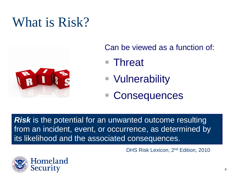### What is Risk?



Can be viewed as a function of:

- Threat
- Vulnerability
- **Consequences**

*Risk* is the potential for an unwanted outcome resulting from an incident, event, or occurrence, as determined by its likelihood and the associated consequences.

DHS Risk Lexicon, 2nd Edition, 2010

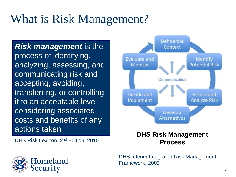#### What is Risk Management?

**Risk management** is the process of identifying, analyzing, assessing, and communicating risk and accepting, avoiding, transferring, or controlling it to an acceptable level considering associated costs and benefits of any actions taken

DHS Risk Lexicon, 2<sup>nd</sup> Edition, 2010





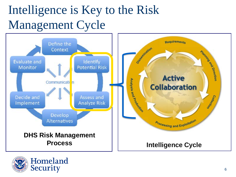# Intelligence is Key to the Risk Management Cycle



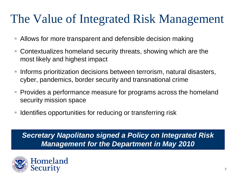#### The Value of Integrated Risk Management

- Allows for more transparent and defensible decision making
- Contextualizes homeland security threats, showing which are the most likely and highest impact
- Informs prioritization decisions between terrorism, natural disasters, cyber, pandemics, border security and transnational crime
- Provides a performance measure for programs across the homeland security mission space
- **If Identifies opportunities for reducing or transferring risk**

*Secretary Napolitano signed a Policy on Integrated Risk Management for the Department in May 2010*

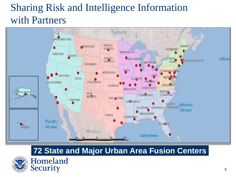#### Sharing Risk and Intelligence Information with Partners



#### **72 State and Major Urban Area Fusion Centers**



Homeland **Security**